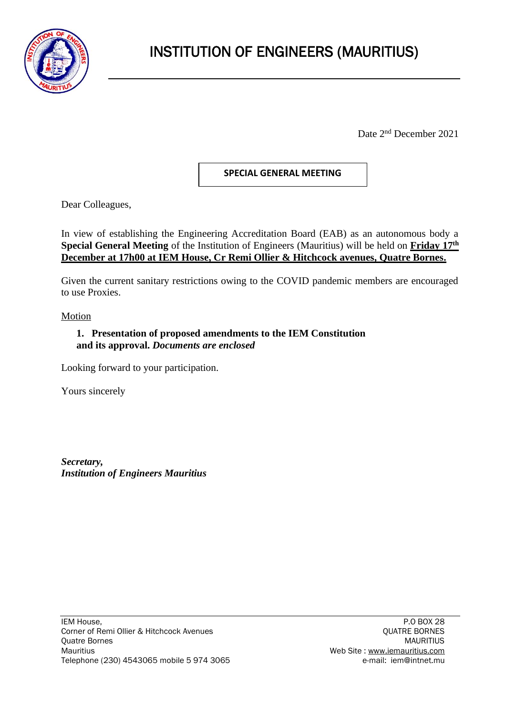

Date 2<sup>nd</sup> December 2021

## **SPECIAL GENERAL MEETING**

Dear Colleagues,

In view of establishing the Engineering Accreditation Board (EAB) as an autonomous body a **Special General Meeting** of the Institution of Engineers (Mauritius) will be held on **Friday 17th December at 17h00 at IEM House, Cr Remi Ollier & Hitchcock avenues, Quatre Bornes.**

Given the current sanitary restrictions owing to the COVID pandemic members are encouraged to use Proxies.

Motion

## **1. Presentation of proposed amendments to the IEM Constitution and its approval.** *Documents are enclosed*

Looking forward to your participation.

Yours sincerely

*Secretary, Institution of Engineers Mauritius*